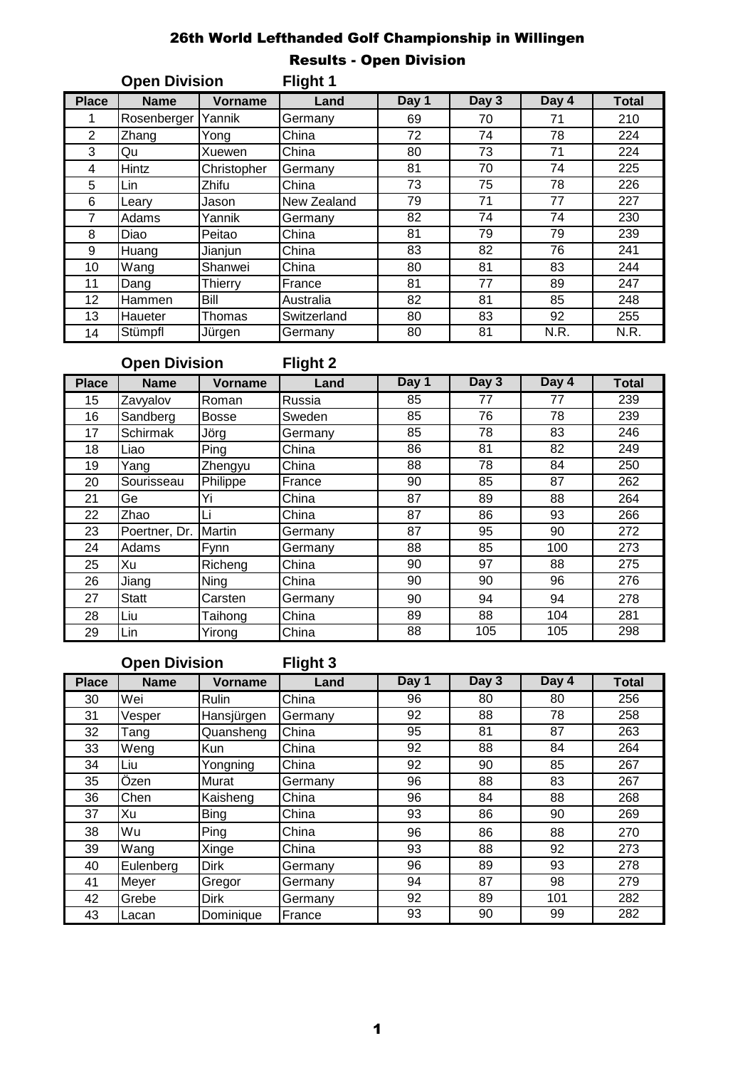### 26th World Lefthanded Golf Championship in Willingen Results - Open Division

| <b>Open Division</b> |             | Flight 1       |             |       |       |       |              |
|----------------------|-------------|----------------|-------------|-------|-------|-------|--------------|
| <b>Place</b>         | <b>Name</b> | <b>Vorname</b> | Land        | Day 1 | Day 3 | Day 4 | <b>Total</b> |
|                      | Rosenberger | Yannik         | Germany     | 69    | 70    | 71    | 210          |
| $\overline{2}$       | Zhang       | Yong           | China       | 72    | 74    | 78    | 224          |
| 3                    | Qu          | Xuewen         | China       | 80    | 73    | 71    | 224          |
| 4                    | Hintz       | Christopher    | Germany     | 81    | 70    | 74    | 225          |
| 5                    | Lin         | Zhifu          | China       | 73    | 75    | 78    | 226          |
| 6                    | Leary       | Jason          | New Zealand | 79    | 71    | 77    | 227          |
| 7                    | Adams       | Yannik         | Germany     | 82    | 74    | 74    | 230          |
| 8                    | Diao        | Peitao         | China       | 81    | 79    | 79    | 239          |
| 9                    | Huang       | Jianjun        | China       | 83    | 82    | 76    | 241          |
| 10                   | Wang        | Shanwei        | China       | 80    | 81    | 83    | 244          |
| 11                   | Dang        | Thierry        | France      | 81    | 77    | 89    | 247          |
| 12                   | Hammen      | Bill           | Australia   | 82    | 81    | 85    | 248          |
| 13                   | Haueter     | Thomas         | Switzerland | 80    | 83    | 92    | 255          |
| 14                   | Stümpfl     | Jürgen         | Germany     | 80    | 81    | N.R.  | N.R.         |

## **Open Division Flight 2**

| <b>Place</b> | <b>Name</b>     | Vorname      | Land    | Day 1 | Day 3 | Day 4 | <b>Total</b> |
|--------------|-----------------|--------------|---------|-------|-------|-------|--------------|
| 15           | Zavyalov        | Roman        | Russia  | 85    | 77    | 77    | 239          |
| 16           | Sandberg        | <b>Bosse</b> | Sweden  | 85    | 76    | 78    | 239          |
| 17           | <b>Schirmak</b> | Jörg         | Germany | 85    | 78    | 83    | 246          |
| 18           | Liao            | Ping         | China   | 86    | 81    | 82    | 249          |
| 19           | Yang            | Zhengyu      | China   | 88    | 78    | 84    | 250          |
| 20           | Sourisseau      | Philippe     | France  | 90    | 85    | 87    | 262          |
| 21           | Ge              | Yi           | China   | 87    | 89    | 88    | 264          |
| 22           | Zhao            | Li           | China   | 87    | 86    | 93    | 266          |
| 23           | Poertner, Dr.   | Martin       | Germany | 87    | 95    | 90    | 272          |
| 24           | Adams           | Fynn         | Germany | 88    | 85    | 100   | 273          |
| 25           | Xu              | Richeng      | China   | 90    | 97    | 88    | 275          |
| 26           | Jiang           | Ning         | China   | 90    | 90    | 96    | 276          |
| 27           | <b>Statt</b>    | Carsten      | Germany | 90    | 94    | 94    | 278          |
| 28           | Liu             | Taihong      | China   | 89    | 88    | 104   | 281          |
| 29           | Lin             | Yirong       | China   | 88    | 105   | 105   | 298          |

# **Open Division Flight 3**

| <b>Place</b> | <b>Name</b> | <b>Vorname</b> | Land    | Day 1 | Day 3 | Day 4 | <b>Total</b> |
|--------------|-------------|----------------|---------|-------|-------|-------|--------------|
| 30           | Wei         | Rulin          | China   | 96    | 80    | 80    | 256          |
| 31           | Vesper      | Hansjürgen     | Germany | 92    | 88    | 78    | 258          |
| 32           | Tang        | Quansheng      | China   | 95    | 81    | 87    | 263          |
| 33           | Weng        | Kun            | China   | 92    | 88    | 84    | 264          |
| 34           | Liu         | Yongning       | China   | 92    | 90    | 85    | 267          |
| 35           | Özen        | Murat          | Germany | 96    | 88    | 83    | 267          |
| 36           | Chen        | Kaisheng       | China   | 96    | 84    | 88    | 268          |
| 37           | Xu          | <b>Bing</b>    | China   | 93    | 86    | 90    | 269          |
| 38           | Wu          | Ping           | China   | 96    | 86    | 88    | 270          |
| 39           | Wang        | Xinge          | China   | 93    | 88    | 92    | 273          |
| 40           | Eulenberg   | <b>Dirk</b>    | Germany | 96    | 89    | 93    | 278          |
| 41           | Meyer       | Gregor         | Germany | 94    | 87    | 98    | 279          |
| 42           | Grebe       | <b>Dirk</b>    | Germany | 92    | 89    | 101   | 282          |
| 43           | Lacan       | Dominique      | France  | 93    | 90    | 99    | 282          |